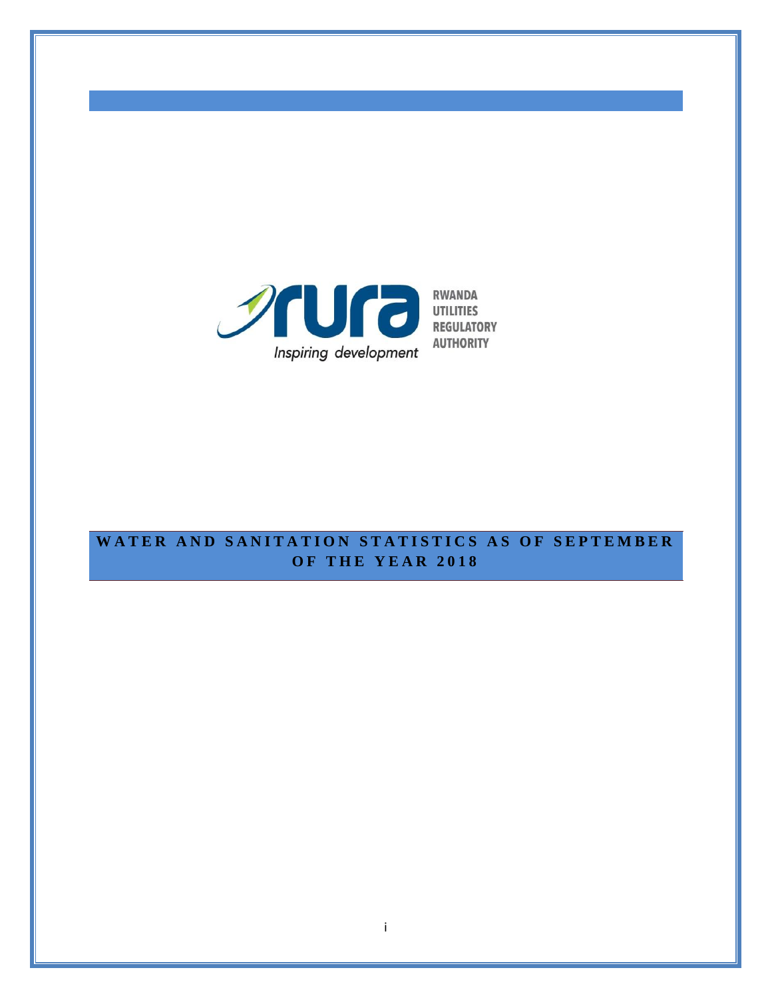

**AUTHORITY** 

# WATER AND SANITATION STATISTICS AS OF SEPTEMBER **O F T H E Y E A R 201 8**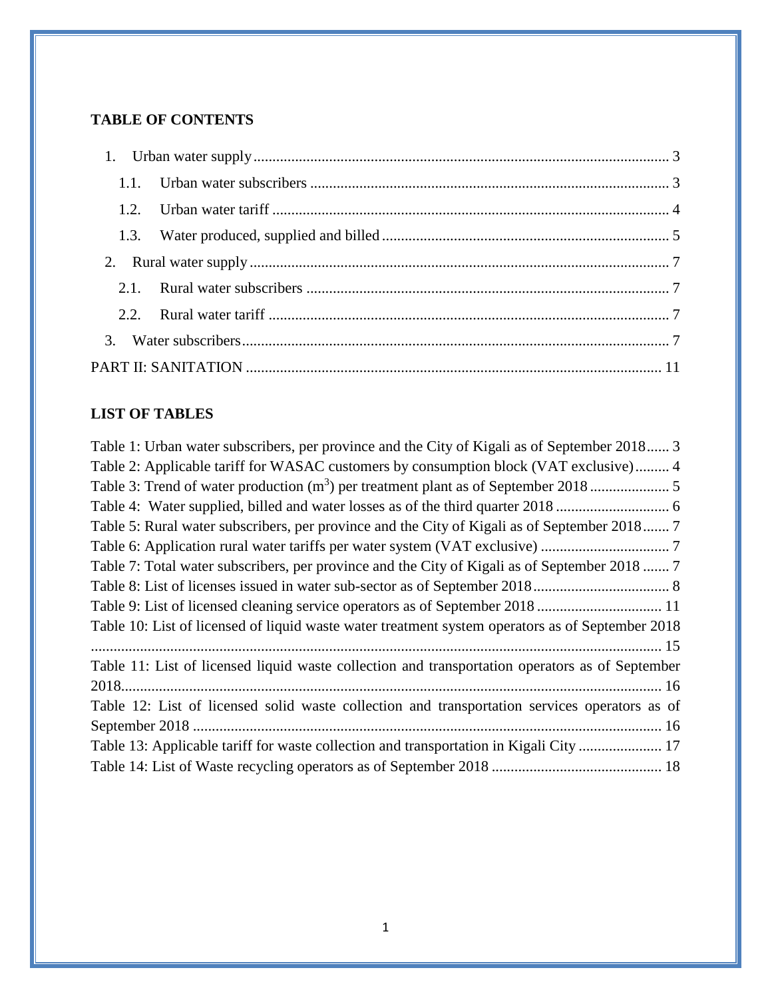### **TABLE OF CONTENTS**

## **LIST OF TABLES**

| Table 1: Urban water subscribers, per province and the City of Kigali as of September 2018 3     |
|--------------------------------------------------------------------------------------------------|
| Table 2: Applicable tariff for WASAC customers by consumption block (VAT exclusive) 4            |
|                                                                                                  |
|                                                                                                  |
| Table 5: Rural water subscribers, per province and the City of Kigali as of September 2018 7     |
|                                                                                                  |
| Table 7: Total water subscribers, per province and the City of Kigali as of September 2018  7    |
|                                                                                                  |
| Table 9: List of licensed cleaning service operators as of September 2018  11                    |
| Table 10: List of licensed of liquid waste water treatment system operators as of September 2018 |
|                                                                                                  |
| Table 11: List of licensed liquid waste collection and transportation operators as of September  |
|                                                                                                  |
| Table 12: List of licensed solid waste collection and transportation services operators as of    |
|                                                                                                  |
| Table 13: Applicable tariff for waste collection and transportation in Kigali City  17           |
|                                                                                                  |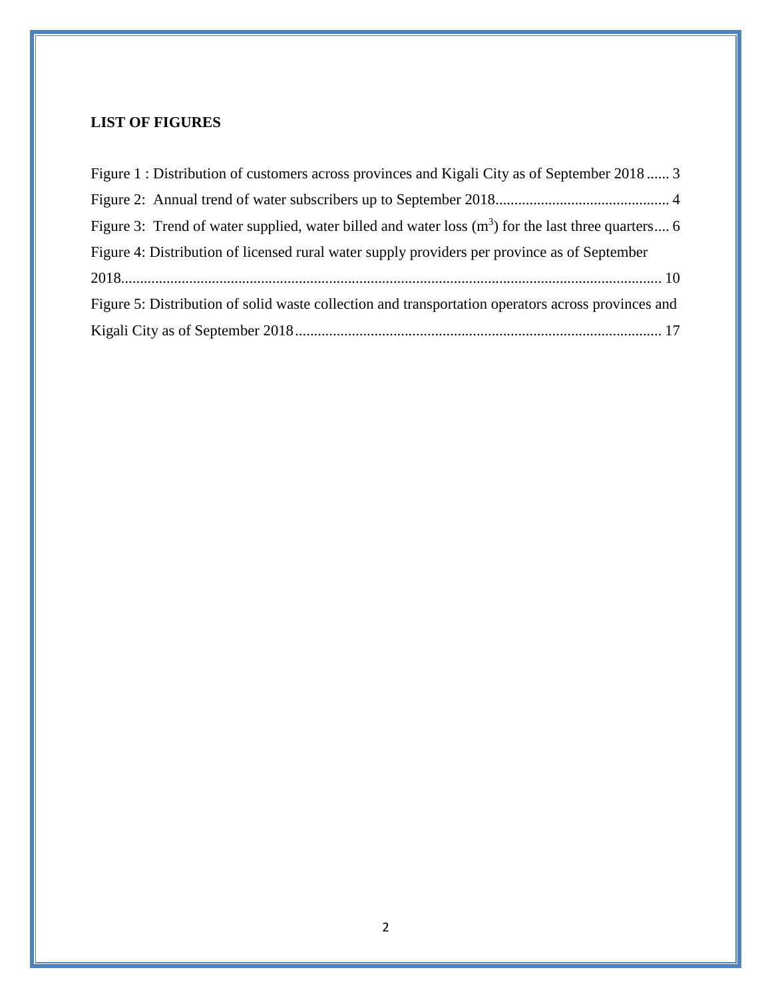## **LIST OF FIGURES**

| Figure 1: Distribution of customers across provinces and Kigali City as of September 2018 3         |  |
|-----------------------------------------------------------------------------------------------------|--|
|                                                                                                     |  |
| Figure 3: Trend of water supplied, water billed and water loss $(m3)$ for the last three quarters 6 |  |
| Figure 4: Distribution of licensed rural water supply providers per province as of September        |  |
|                                                                                                     |  |
| Figure 5: Distribution of solid waste collection and transportation operators across provinces and  |  |
|                                                                                                     |  |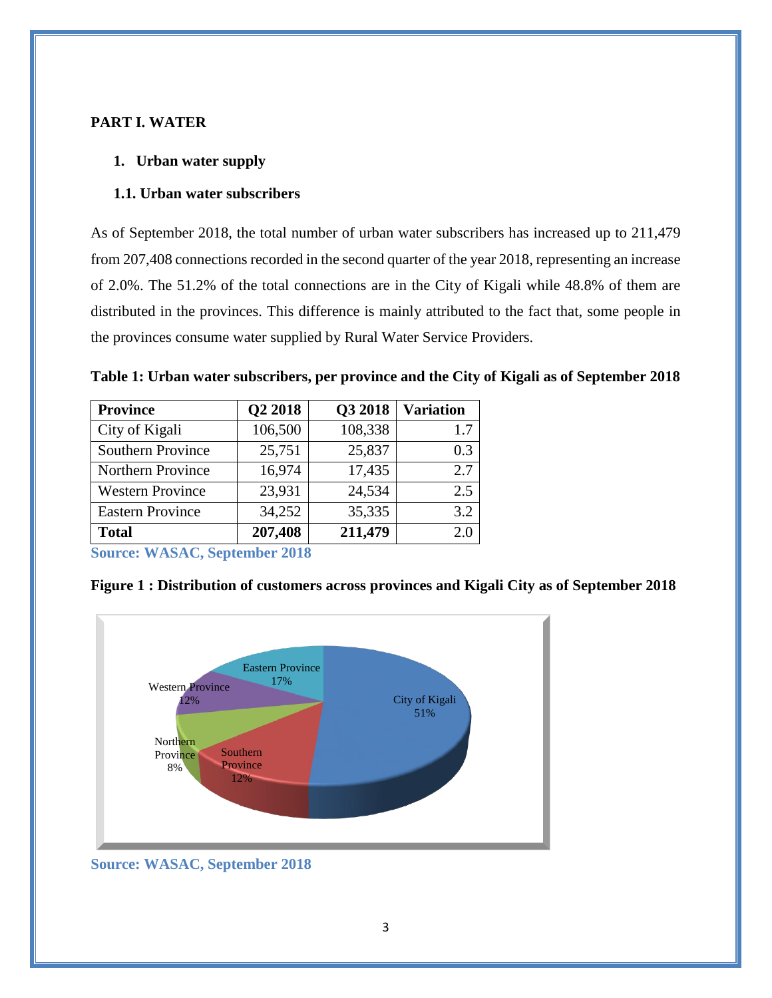#### <span id="page-3-0"></span>**PART I. WATER**

#### **1. Urban water supply**

#### <span id="page-3-1"></span>**1.1. Urban water subscribers**

As of September 2018, the total number of urban water subscribers has increased up to 211,479 from 207,408 connections recorded in the second quarter of the year 2018, representing an increase of 2.0%. The 51.2% of the total connections are in the City of Kigali while 48.8% of them are distributed in the provinces. This difference is mainly attributed to the fact that, some people in the provinces consume water supplied by Rural Water Service Providers.

<span id="page-3-2"></span>**Table 1: Urban water subscribers, per province and the City of Kigali as of September 2018**

| <b>Province</b>          | Q2 2018 | Q3 2018 | <b>Variation</b> |
|--------------------------|---------|---------|------------------|
| City of Kigali           | 106,500 | 108,338 | 1.7              |
| <b>Southern Province</b> | 25,751  | 25,837  | 0.3              |
| <b>Northern Province</b> | 16,974  | 17,435  | 2.7              |
| <b>Western Province</b>  | 23,931  | 24,534  | 2.5              |
| <b>Eastern Province</b>  | 34,252  | 35,335  | 3.2              |
| <b>Total</b>             | 207,408 | 211,479 | 2.0              |

**Source: WASAC, September 2018**

<span id="page-3-3"></span>**Figure 1 : Distribution of customers across provinces and Kigali City as of September 2018**



**Source: WASAC, September 2018**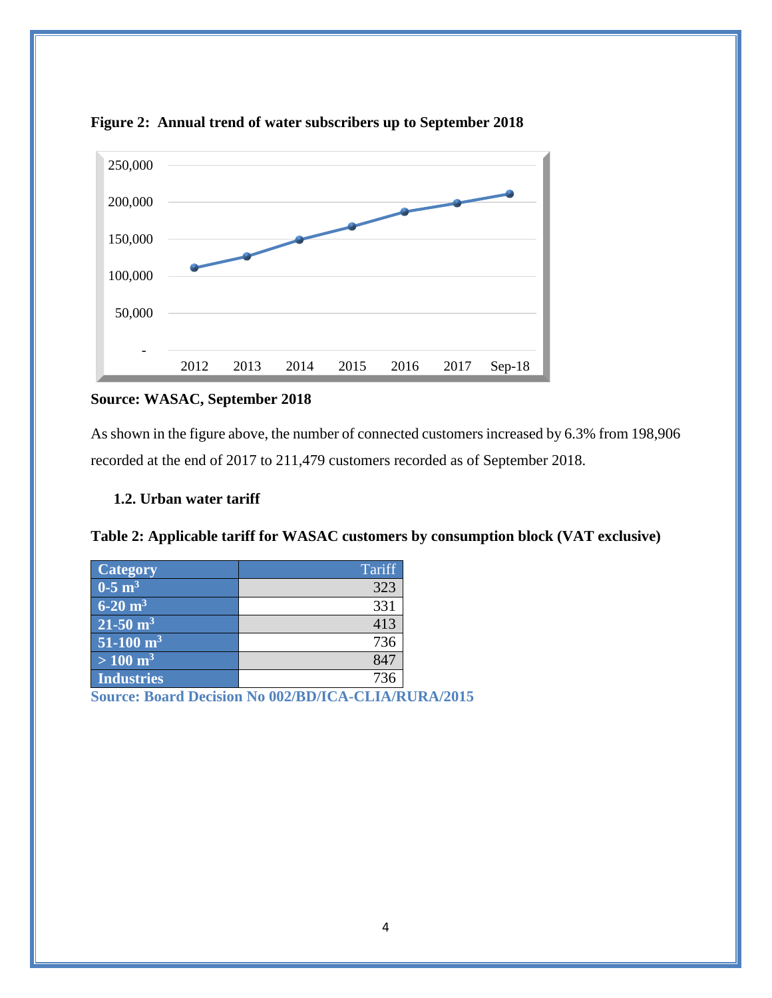

<span id="page-4-2"></span>**Figure 2: Annual trend of water subscribers up to September 2018**

### **Source: WASAC, September 2018**

As shown in the figure above, the number of connected customers increased by 6.3% from 198,906 recorded at the end of 2017 to 211,479 customers recorded as of September 2018.

#### <span id="page-4-0"></span>**1.2. Urban water tariff**

<span id="page-4-1"></span>

| Table 2: Applicable tariff for WASAC customers by consumption block (VAT exclusive) |  |
|-------------------------------------------------------------------------------------|--|
|                                                                                     |  |

| <b>Category</b>         | Tariff |
|-------------------------|--------|
| $0-5$ m <sup>3</sup>    | 323    |
| $6-20 \text{ m}^3$      | 331    |
| $21-50 \text{ m}^3$     | 413    |
| $51-100$ m <sup>3</sup> | 736    |
| $> 100 \text{ m}^3$     | 847    |
| Industries              | 736    |

**Source: Board Decision No 002/BD/ICA-CLIA/RURA/2015**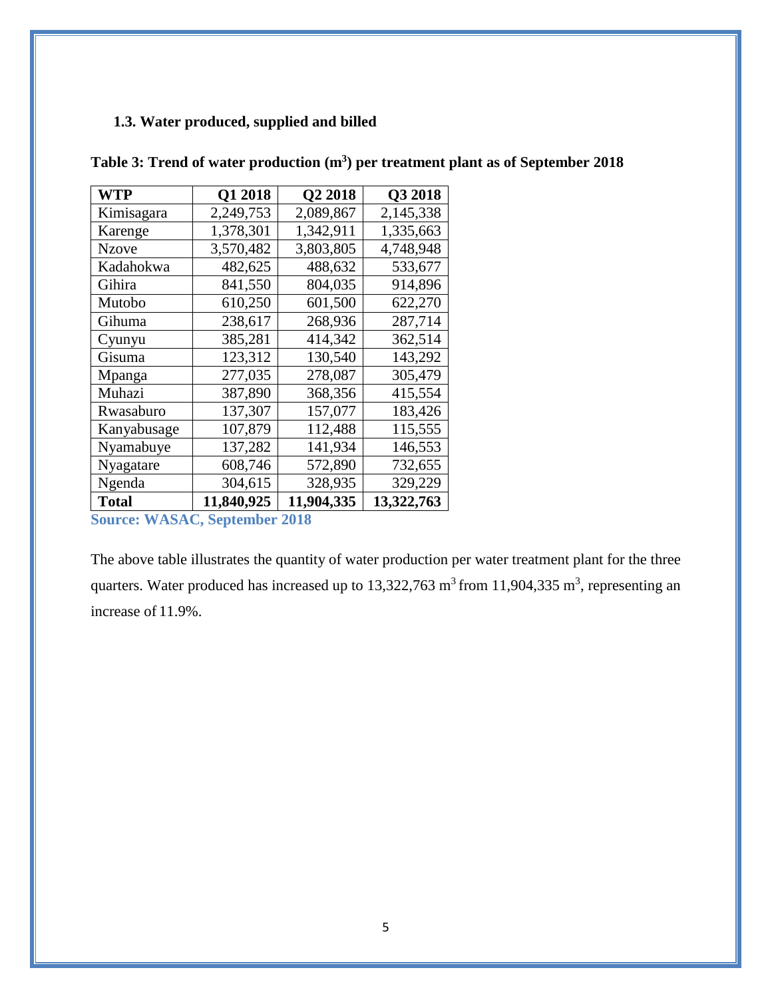### <span id="page-5-0"></span>**1.3. Water produced, supplied and billed**

| <b>WTP</b>   | Q1 2018    | Q2 2018    | Q3 2018    |
|--------------|------------|------------|------------|
| Kimisagara   | 2,249,753  | 2,089,867  | 2,145,338  |
| Karenge      | 1,378,301  | 1,342,911  | 1,335,663  |
| <b>Nzove</b> | 3,570,482  | 3,803,805  | 4,748,948  |
| Kadahokwa    | 482,625    | 488,632    | 533,677    |
| Gihira       | 841,550    | 804,035    | 914,896    |
| Mutobo       | 610,250    | 601,500    | 622,270    |
| Gihuma       | 238,617    | 268,936    | 287,714    |
| Cyunyu       | 385,281    | 414,342    | 362,514    |
| Gisuma       | 123,312    | 130,540    | 143,292    |
| Mpanga       | 277,035    | 278,087    | 305,479    |
| Muhazi       | 387,890    | 368,356    | 415,554    |
| Rwasaburo    | 137,307    | 157,077    | 183,426    |
| Kanyabusage  | 107,879    | 112,488    | 115,555    |
| Nyamabuye    | 137,282    | 141,934    | 146,553    |
| Nyagatare    | 608,746    | 572,890    | 732,655    |
| Ngenda       | 304,615    | 328,935    | 329,229    |
| <b>Total</b> | 11,840,925 | 11,904,335 | 13,322,763 |

<span id="page-5-1"></span>**Table 3: Trend of water production (m<sup>3</sup> ) per treatment plant as of September 2018**

**Source: WASAC, September 2018**

The above table illustrates the quantity of water production per water treatment plant for the three quarters. Water produced has increased up to  $13,322,763$  m<sup>3</sup> from  $11,904,335$  m<sup>3</sup>, representing an increase of 11.9%.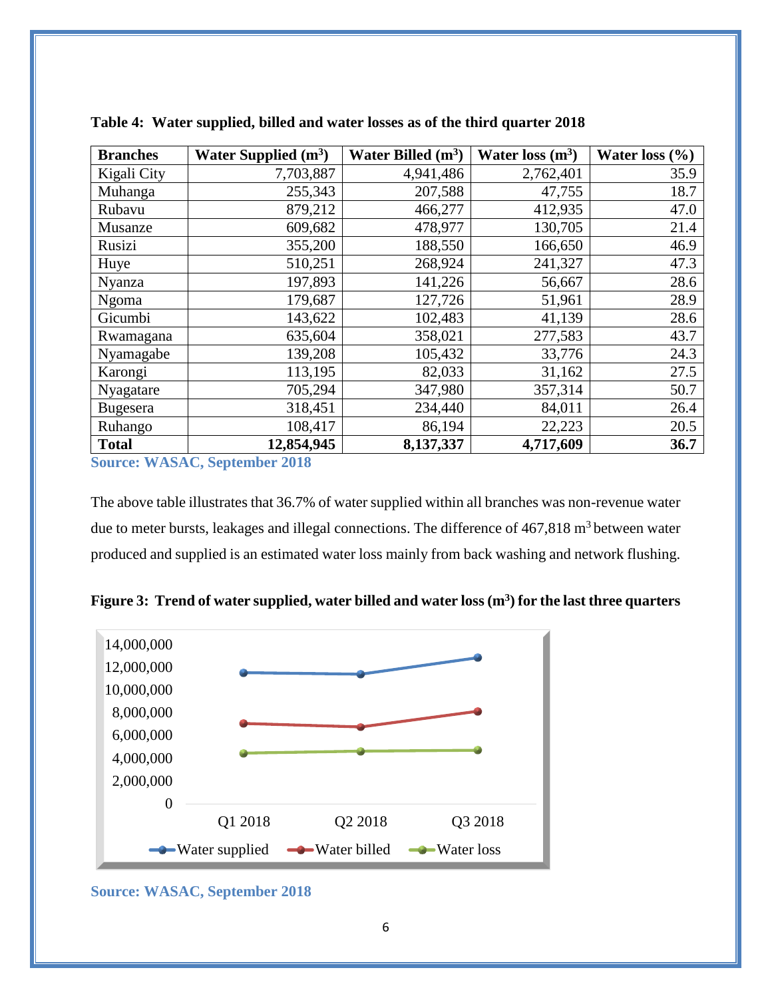| <b>Branches</b> | Water Supplied $(m^3)$ | Water Billed $(m^3)$ | Water loss $(m^3)$ | Water loss $(\% )$ |
|-----------------|------------------------|----------------------|--------------------|--------------------|
| Kigali City     | 7,703,887              | 4,941,486            | 2,762,401          | 35.9               |
| Muhanga         | 255,343                | 207,588              | 47,755             | 18.7               |
| Rubavu          | 879,212                | 466,277              | 412,935            | 47.0               |
| Musanze         | 609,682                | 478,977              | 130,705            | 21.4               |
| Rusizi          | 355,200                | 188,550              | 166,650            | 46.9               |
| Huye            | 510,251                | 268,924              | 241,327            | 47.3               |
| Nyanza          | 197,893                | 141,226              | 56,667             | 28.6               |
| Ngoma           | 179,687                | 127,726              | 51,961             | 28.9               |
| Gicumbi         | 143,622                | 102,483              | 41,139             | 28.6               |
| Rwamagana       | 635,604                | 358,021              | 277,583            | 43.7               |
| Nyamagabe       | 139,208                | 105,432              | 33,776             | 24.3               |
| Karongi         | 113,195                | 82,033               | 31,162             | 27.5               |
| Nyagatare       | 705,294                | 347,980              | 357,314            | 50.7               |
| <b>Bugesera</b> | 318,451                | 234,440              | 84,011             | 26.4               |
| Ruhango         | 108,417                | 86,194               | 22,223             | 20.5               |
| <b>Total</b>    | 12,854,945             | 8,137,337            | 4,717,609          | 36.7               |

<span id="page-6-0"></span>**Table 4: Water supplied, billed and water losses as of the third quarter 2018**

**Source: WASAC, September 2018**

The above table illustrates that 36.7% of water supplied within all branches was non-revenue water due to meter bursts, leakages and illegal connections. The difference of  $467,818 \text{ m}^3$  between water produced and supplied is an estimated water loss mainly from back washing and network flushing.

<span id="page-6-1"></span>**Figure 3: Trend of water supplied, water billed and water loss (m<sup>3</sup> ) for the last three quarters** 



**Source: WASAC, September 2018**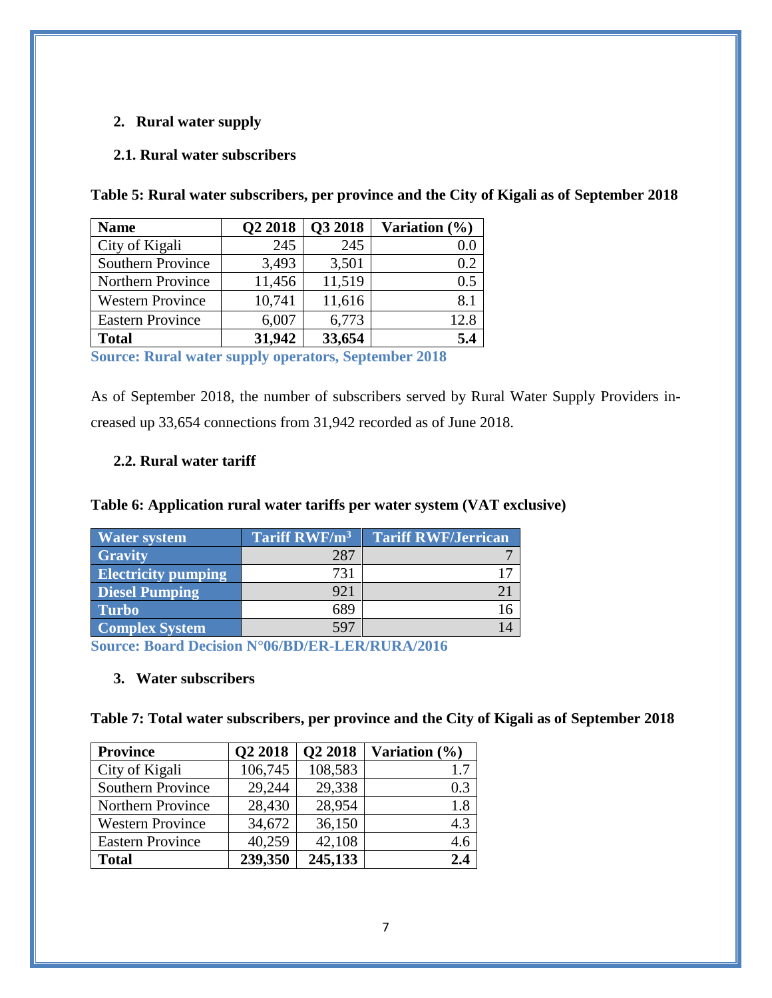### <span id="page-7-0"></span>**2. Rural water supply**

#### <span id="page-7-1"></span>**2.1. Rural water subscribers**

| <b>Name</b>              | Q2 2018 | Q3 2018 | Variation (%) |
|--------------------------|---------|---------|---------------|
| City of Kigali           | 245     | 245     | $0.0\,$       |
| <b>Southern Province</b> | 3,493   | 3,501   | 0.2           |
| Northern Province        | 11,456  | 11,519  | 0.5           |
| <b>Western Province</b>  | 10,741  | 11,616  | 8.1           |
| <b>Eastern Province</b>  | 6,007   | 6,773   | 12.8          |
| <b>Total</b>             | 31,942  | 33,654  | 5.4           |

<span id="page-7-4"></span>**Table 5: Rural water subscribers, per province and the City of Kigali as of September 2018**

**Source: Rural water supply operators, September 2018**

As of September 2018, the number of subscribers served by Rural Water Supply Providers increased up 33,654 connections from 31,942 recorded as of June 2018.

#### <span id="page-7-2"></span>**2.2. Rural water tariff**

### <span id="page-7-5"></span>**Table 6: Application rural water tariffs per water system (VAT exclusive)**

| Water system               | Tariff RWF/m <sup>3</sup> | <b>Tariff RWF/Jerrican</b> |
|----------------------------|---------------------------|----------------------------|
| <b>Gravity</b>             | 287                       |                            |
| <b>Electricity pumping</b> | 731                       |                            |
| <b>Diesel Pumping</b>      | 921                       |                            |
| <b>Turbo</b>               | 689                       |                            |
| <b>Complex System</b>      | 597                       |                            |

<span id="page-7-3"></span>**Source: Board Decision N°06/BD/ER-LER/RURA/2016**

#### **3. Water subscribers**

<span id="page-7-6"></span>**Table 7: Total water subscribers, per province and the City of Kigali as of September 2018**

| <b>Province</b>          | Q2 2018 | Q2 2018 | Variation $(\% )$ |
|--------------------------|---------|---------|-------------------|
| City of Kigali           | 106,745 | 108,583 | 1.7               |
| <b>Southern Province</b> | 29,244  | 29,338  | 0.3               |
| Northern Province        | 28,430  | 28,954  | 1.8               |
| <b>Western Province</b>  | 34,672  | 36,150  | 4.3               |
| <b>Eastern Province</b>  | 40,259  | 42,108  | 4.6               |
| <b>Total</b>             | 239,350 | 245,133 | 2.4               |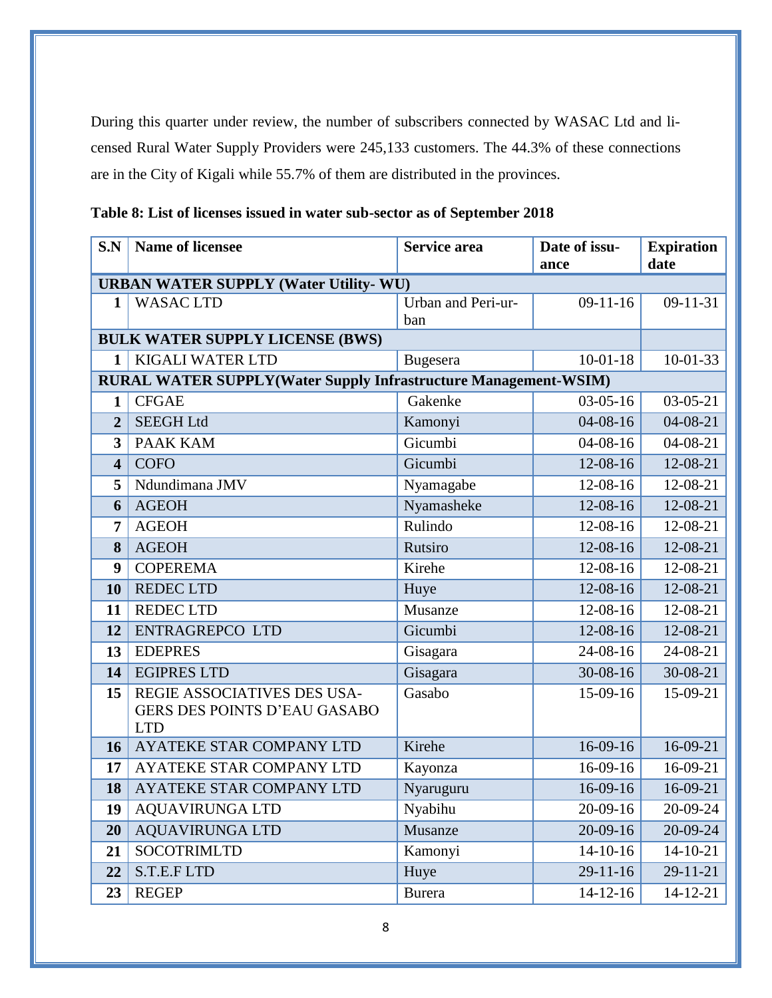During this quarter under review, the number of subscribers connected by WASAC Ltd and licensed Rural Water Supply Providers were 245,133 customers. The 44.3% of these connections are in the City of Kigali while 55.7% of them are distributed in the provinces.

| S.N                     | <b>Name of licensee</b>                                                          | <b>Service area</b>       | Date of issu-<br>ance | <b>Expiration</b><br>date |  |  |  |  |
|-------------------------|----------------------------------------------------------------------------------|---------------------------|-----------------------|---------------------------|--|--|--|--|
|                         | <b>URBAN WATER SUPPLY (Water Utility- WU)</b>                                    |                           |                       |                           |  |  |  |  |
| 1                       | <b>WASAC LTD</b>                                                                 | Urban and Peri-ur-<br>ban | $09-11-16$            | $09-11-31$                |  |  |  |  |
|                         | <b>BULK WATER SUPPLY LICENSE (BWS)</b>                                           |                           |                       |                           |  |  |  |  |
| 1                       | KIGALI WATER LTD                                                                 | Bugesera                  | $10-01-18$            | $10-01-33$                |  |  |  |  |
|                         | <b>RURAL WATER SUPPLY(Water Supply Infrastructure Management-WSIM)</b>           |                           |                       |                           |  |  |  |  |
| 1                       | <b>CFGAE</b>                                                                     | Gakenke                   | $03-05-16$            | $03-05-21$                |  |  |  |  |
| $\overline{2}$          | <b>SEEGH Ltd</b>                                                                 | Kamonyi                   | $04 - 08 - 16$        | $04 - 08 - 21$            |  |  |  |  |
| 3                       | <b>PAAK KAM</b>                                                                  | Gicumbi                   | $04 - 08 - 16$        | $04 - 08 - 21$            |  |  |  |  |
| $\overline{\mathbf{4}}$ | <b>COFO</b>                                                                      | Gicumbi                   | 12-08-16              | 12-08-21                  |  |  |  |  |
| 5                       | Ndundimana JMV                                                                   | Nyamagabe                 | 12-08-16              | 12-08-21                  |  |  |  |  |
| 6                       | <b>AGEOH</b>                                                                     | Nyamasheke                | 12-08-16              | 12-08-21                  |  |  |  |  |
| 7                       | <b>AGEOH</b>                                                                     | Rulindo                   | 12-08-16              | 12-08-21                  |  |  |  |  |
| 8                       | <b>AGEOH</b>                                                                     | Rutsiro                   | 12-08-16              | 12-08-21                  |  |  |  |  |
| 9                       | <b>COPEREMA</b>                                                                  | Kirehe                    | 12-08-16              | 12-08-21                  |  |  |  |  |
| 10                      | <b>REDEC LTD</b>                                                                 | Huye                      | $12 - 08 - 16$        | 12-08-21                  |  |  |  |  |
| 11                      | <b>REDEC LTD</b>                                                                 | Musanze                   | 12-08-16              | 12-08-21                  |  |  |  |  |
| 12                      | <b>ENTRAGREPCO LTD</b>                                                           | Gicumbi                   | 12-08-16              | 12-08-21                  |  |  |  |  |
| 13                      | <b>EDEPRES</b>                                                                   | Gisagara                  | 24-08-16              | 24-08-21                  |  |  |  |  |
| 14                      | <b>EGIPRES LTD</b>                                                               | Gisagara                  | 30-08-16              | 30-08-21                  |  |  |  |  |
| 15                      | REGIE ASSOCIATIVES DES USA-<br><b>GERS DES POINTS D'EAU GASABO</b><br><b>LTD</b> | Gasabo                    | 15-09-16              | 15-09-21                  |  |  |  |  |
| 16                      | AYATEKE STAR COMPANY LTD                                                         | Kirehe                    | 16-09-16              | 16-09-21                  |  |  |  |  |
| 17                      | <b>AYATEKE STAR COMPANY LTD</b>                                                  | Kayonza                   | 16-09-16              | 16-09-21                  |  |  |  |  |
| 18                      | AYATEKE STAR COMPANY LTD                                                         | Nyaruguru                 | 16-09-16              | 16-09-21                  |  |  |  |  |
| 19                      | <b>AQUAVIRUNGA LTD</b>                                                           | Nyabihu                   | 20-09-16              | 20-09-24                  |  |  |  |  |
| 20                      | <b>AQUAVIRUNGA LTD</b>                                                           | Musanze                   | 20-09-16              | 20-09-24                  |  |  |  |  |
| 21                      | <b>SOCOTRIMLTD</b>                                                               | Kamonyi                   | $14-10-16$            | $14 - 10 - 21$            |  |  |  |  |
| 22                      | S.T.E.F LTD                                                                      | Huye                      | $29 - 11 - 16$        | 29-11-21                  |  |  |  |  |
| 23                      | <b>REGEP</b>                                                                     | <b>Burera</b>             | $14 - 12 - 16$        | $14 - 12 - 21$            |  |  |  |  |

<span id="page-8-0"></span>**Table 8: List of licenses issued in water sub-sector as of September 2018**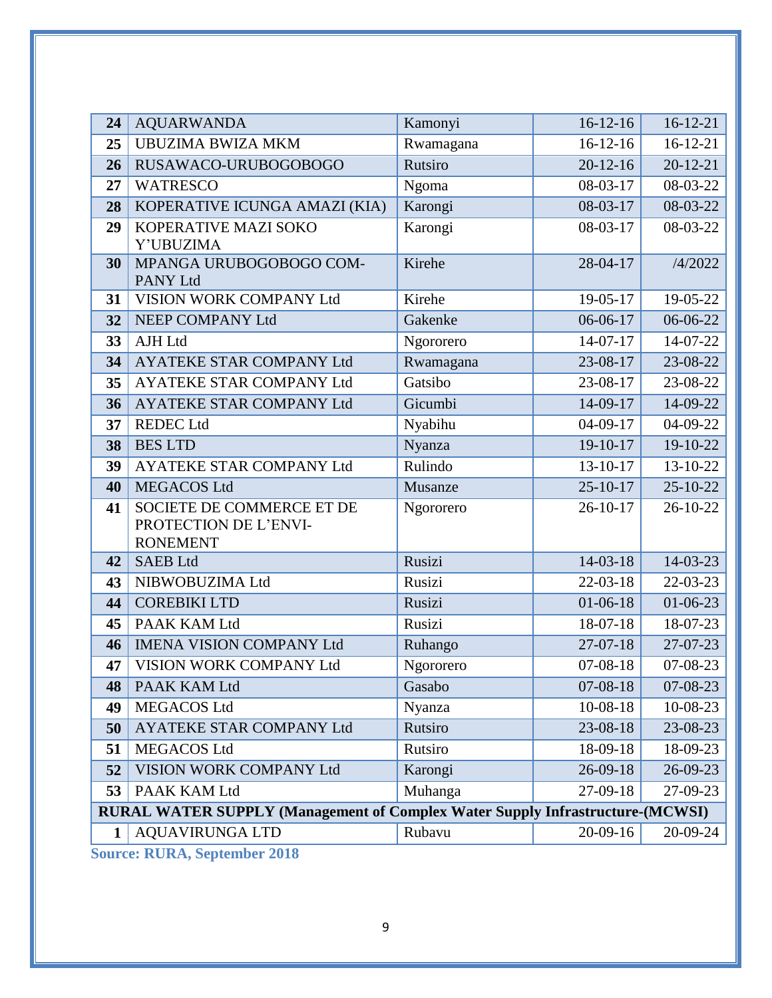| 24 | <b>AQUARWANDA</b>                                                                    | Kamonyi   | $16-12-16$     | $16 - 12 - 21$ |
|----|--------------------------------------------------------------------------------------|-----------|----------------|----------------|
| 25 | <b>UBUZIMA BWIZA MKM</b>                                                             | Rwamagana | $16-12-16$     | $16-12-21$     |
| 26 | RUSAWACO-URUBOGOBOGO                                                                 | Rutsiro   | $20 - 12 - 16$ | $20 - 12 - 21$ |
| 27 | <b>WATRESCO</b>                                                                      | Ngoma     | 08-03-17       | 08-03-22       |
| 28 | KOPERATIVE ICUNGA AMAZI (KIA)                                                        | Karongi   | $08-03-17$     | 08-03-22       |
| 29 | KOPERATIVE MAZI SOKO<br>Y'UBUZIMA                                                    | Karongi   | $08-03-17$     | 08-03-22       |
| 30 | MPANGA URUBOGOBOGO COM-<br><b>PANY Ltd</b>                                           | Kirehe    | 28-04-17       | /4/2022        |
| 31 | VISION WORK COMPANY Ltd                                                              | Kirehe    | 19-05-17       | 19-05-22       |
| 32 | NEEP COMPANY Ltd                                                                     | Gakenke   | $06-06-17$     | 06-06-22       |
| 33 | <b>AJH Ltd</b>                                                                       | Ngororero | 14-07-17       | 14-07-22       |
| 34 | AYATEKE STAR COMPANY Ltd                                                             | Rwamagana | 23-08-17       | 23-08-22       |
| 35 | <b>AYATEKE STAR COMPANY Ltd</b>                                                      | Gatsibo   | 23-08-17       | 23-08-22       |
| 36 | AYATEKE STAR COMPANY Ltd                                                             | Gicumbi   | 14-09-17       | 14-09-22       |
| 37 | <b>REDEC</b> Ltd                                                                     | Nyabihu   | $04-09-17$     | 04-09-22       |
| 38 | <b>BES LTD</b>                                                                       | Nyanza    | 19-10-17       | 19-10-22       |
| 39 | AYATEKE STAR COMPANY Ltd                                                             | Rulindo   | 13-10-17       | 13-10-22       |
| 40 | <b>MEGACOS Ltd</b>                                                                   | Musanze   | $25 - 10 - 17$ | $25 - 10 - 22$ |
| 41 | SOCIETE DE COMMERCE ET DE<br>PROTECTION DE L'ENVI-<br><b>RONEMENT</b>                | Ngororero | $26 - 10 - 17$ | $26 - 10 - 22$ |
| 42 | <b>SAEB Ltd</b>                                                                      | Rusizi    | $14 - 03 - 18$ | 14-03-23       |
| 43 | NIBWOBUZIMA Ltd                                                                      | Rusizi    | 22-03-18       | 22-03-23       |
| 44 | <b>COREBIKI LTD</b>                                                                  | Rusizi    | $01 - 06 - 18$ | $01 - 06 - 23$ |
| 45 | PAAK KAM Ltd                                                                         | Rusizi    | 18-07-18       | 18-07-23       |
| 46 | <b>IMENA VISION COMPANY Ltd</b>                                                      | Ruhango   | $27-07-18$     | 27-07-23       |
| 47 | VISION WORK COMPANY Ltd                                                              | Ngororero | $07 - 08 - 18$ | 07-08-23       |
| 48 | PAAK KAM Ltd                                                                         | Gasabo    | $07 - 08 - 18$ | $07 - 08 - 23$ |
| 49 | <b>MEGACOS Ltd</b>                                                                   | Nyanza    | $10-08-18$     | 10-08-23       |
| 50 | <b>AYATEKE STAR COMPANY Ltd</b>                                                      | Rutsiro   | 23-08-18       | 23-08-23       |
| 51 | <b>MEGACOS Ltd</b>                                                                   | Rutsiro   | 18-09-18       | 18-09-23       |
| 52 | VISION WORK COMPANY Ltd                                                              | Karongi   | 26-09-18       | 26-09-23       |
| 53 | PAAK KAM Ltd                                                                         | Muhanga   | 27-09-18       | 27-09-23       |
|    | <b>RURAL WATER SUPPLY (Management of Complex Water Supply Infrastructure-(MCWSI)</b> |           |                |                |
| 1  | <b>AQUAVIRUNGA LTD</b>                                                               | Rubavu    | $20-09-16$     | $20-09-24$     |

**Source: RURA, September 2018**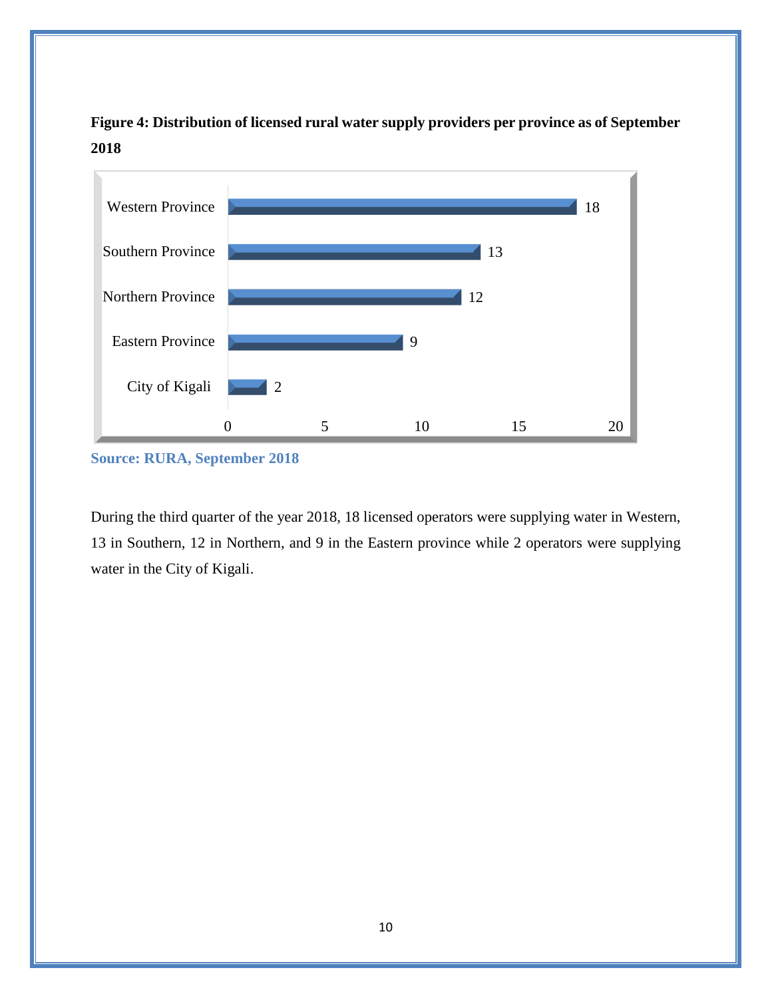

<span id="page-10-0"></span>**Figure 4: Distribution of licensed rural water supply providers per province as of September 2018**

During the third quarter of the year 2018, 18 licensed operators were supplying water in Western, 13 in Southern, 12 in Northern, and 9 in the Eastern province while 2 operators were supplying water in the City of Kigali.

**Source: RURA, September 2018**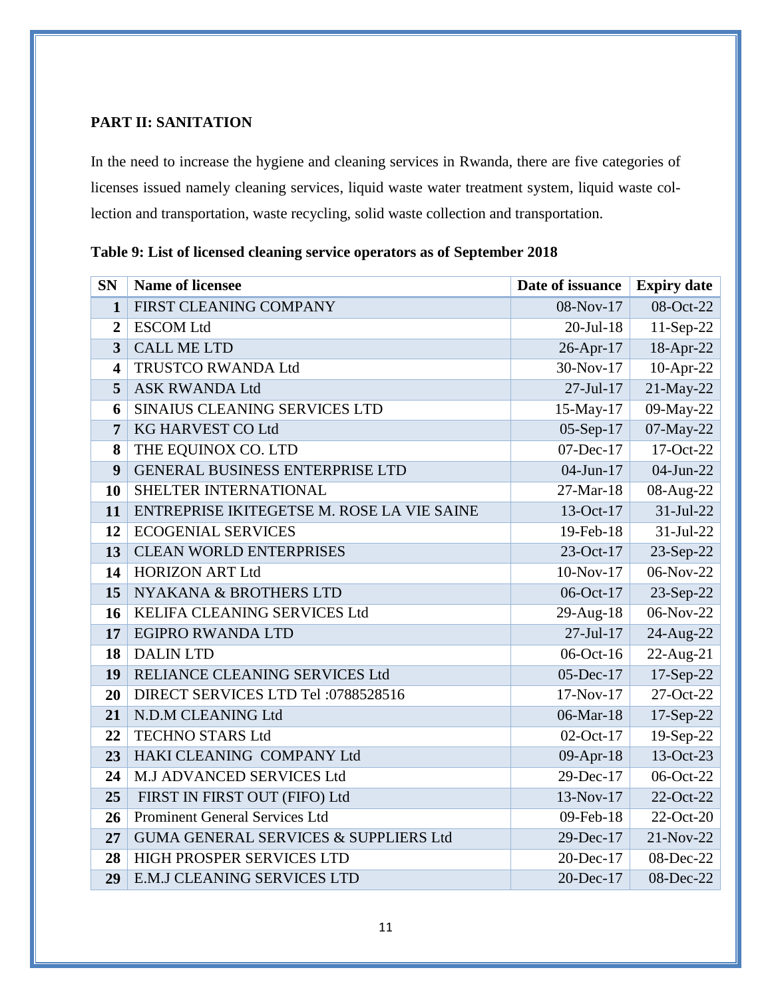### <span id="page-11-0"></span>**PART II: SANITATION**

In the need to increase the hygiene and cleaning services in Rwanda, there are five categories of licenses issued namely cleaning services, liquid waste water treatment system, liquid waste collection and transportation, waste recycling, solid waste collection and transportation.

| <b>SN</b>               | <b>Name of licensee</b>                    | Date of issuance | <b>Expiry date</b> |
|-------------------------|--------------------------------------------|------------------|--------------------|
| 1                       | FIRST CLEANING COMPANY                     | 08-Nov-17        | 08-Oct-22          |
| $\overline{2}$          | <b>ESCOM Ltd</b>                           | $20$ -Jul-18     | $11-Sep-22$        |
| 3                       | <b>CALL ME LTD</b>                         | 26-Apr-17        | 18-Apr-22          |
| $\overline{\mathbf{4}}$ | TRUSTCO RWANDA Ltd                         | 30-Nov-17        | $10$ -Apr-22       |
| 5                       | <b>ASK RWANDA Ltd</b>                      | $27 - Jul - 17$  | 21-May-22          |
| 6                       | SINAIUS CLEANING SERVICES LTD              | 15-May-17        | 09-May-22          |
| 7                       | KG HARVEST CO Ltd                          | $05-Sep-17$      | 07-May-22          |
| 8                       | THE EQUINOX CO. LTD                        | 07-Dec-17        | 17-Oct-22          |
| 9                       | <b>GENERAL BUSINESS ENTERPRISE LTD</b>     | 04-Jun-17        | 04-Jun-22          |
| 10                      | SHELTER INTERNATIONAL                      | $27-Mar-18$      | 08-Aug-22          |
| 11                      | ENTREPRISE IKITEGETSE M. ROSE LA VIE SAINE | 13-Oct-17        | $31-Jul-22$        |
| 12                      | <b>ECOGENIAL SERVICES</b>                  | 19-Feb-18        | 31-Jul-22          |
| 13                      | <b>CLEAN WORLD ENTERPRISES</b>             | 23-Oct-17        | 23-Sep-22          |
| 14                      | <b>HORIZON ART Ltd</b>                     | 10-Nov-17        | 06-Nov-22          |
| 15                      | NYAKANA & BROTHERS LTD                     | 06-Oct-17        | 23-Sep-22          |
| <b>16</b>               | KELIFA CLEANING SERVICES Ltd               | 29-Aug-18        | 06-Nov-22          |
| 17                      | <b>EGIPRO RWANDA LTD</b>                   | $27 - Jul - 17$  | 24-Aug-22          |
| 18                      | <b>DALIN LTD</b>                           | 06-Oct-16        | 22-Aug-21          |
| 19                      | RELIANCE CLEANING SERVICES Ltd             | 05-Dec-17        | 17-Sep-22          |
| 20                      | DIRECT SERVICES LTD Tel: 0788528516        | $17-Nov-17$      | 27-Oct-22          |
| 21                      | N.D.M CLEANING Ltd                         | 06-Mar-18        | 17-Sep-22          |
| 22                      | <b>TECHNO STARS Ltd</b>                    | 02-Oct-17        | 19-Sep-22          |
| 23                      | HAKI CLEANING COMPANY Ltd                  | 09-Apr-18        | 13-Oct-23          |
| 24                      | M.J ADVANCED SERVICES Ltd                  | 29-Dec-17        | 06-Oct-22          |
| 25                      | FIRST IN FIRST OUT (FIFO) Ltd              | 13-Nov-17        | 22-Oct-22          |
| 26                      | <b>Prominent General Services Ltd</b>      | 09-Feb-18        | 22-Oct-20          |
| 27                      | GUMA GENERAL SERVICES & SUPPLIERS Ltd      | 29-Dec-17        | 21-Nov-22          |
| 28                      | HIGH PROSPER SERVICES LTD                  | 20-Dec-17        | 08-Dec-22          |
| 29                      | <b>E.M.J CLEANING SERVICES LTD</b>         | 20-Dec-17        | 08-Dec-22          |

<span id="page-11-1"></span>**Table 9: List of licensed cleaning service operators as of September 2018**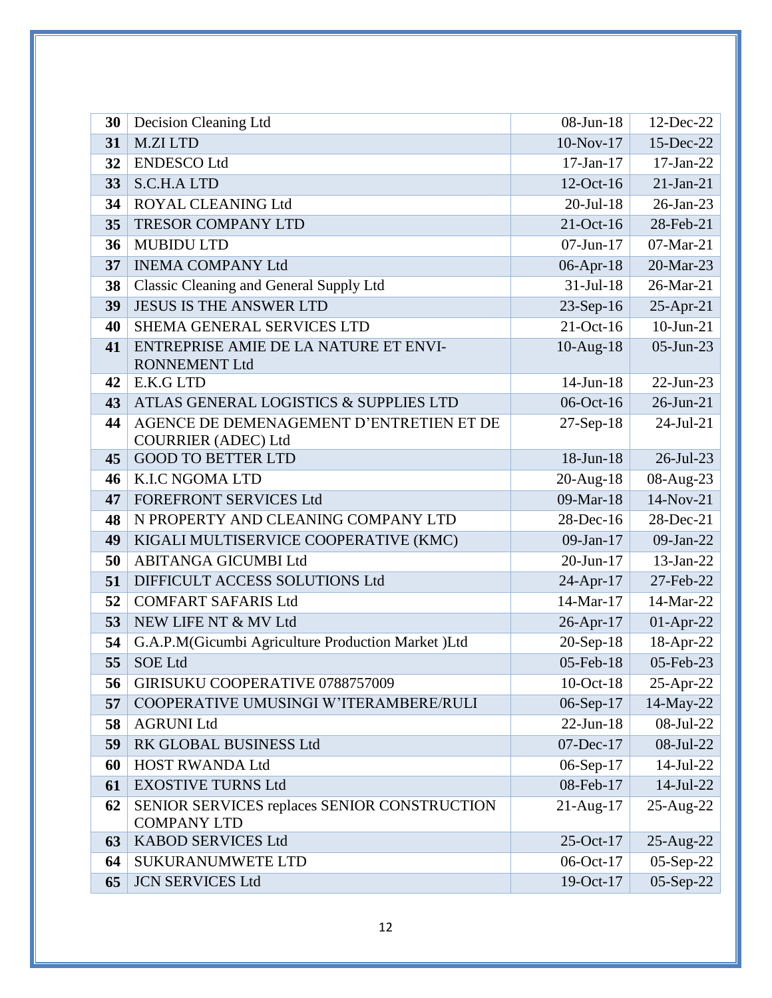| 30 | Decision Cleaning Ltd                                                  | 08-Jun-18       | 12-Dec-22    |
|----|------------------------------------------------------------------------|-----------------|--------------|
| 31 | <b>M.ZI LTD</b>                                                        | $10-Nov-17$     | 15-Dec-22    |
| 32 | <b>ENDESCO</b> Ltd                                                     | $17-Jan-17$     | $17-Jan-22$  |
| 33 | <b>S.C.H.A LTD</b>                                                     | 12-Oct-16       | $21-Jan-21$  |
| 34 | ROYAL CLEANING Ltd                                                     | $20$ -Jul-18    | 26-Jan-23    |
| 35 | <b>TRESOR COMPANY LTD</b>                                              | $21-Oct-16$     | 28-Feb-21    |
| 36 | <b>MUBIDU LTD</b>                                                      | $07 - Jun - 17$ | 07-Mar-21    |
| 37 | <b>INEMA COMPANY Ltd</b>                                               | 06-Apr-18       | 20-Mar-23    |
| 38 | Classic Cleaning and General Supply Ltd                                | $31-Jul-18$     | 26-Mar-21    |
| 39 | <b>JESUS IS THE ANSWER LTD</b>                                         | 23-Sep-16       | $25$ -Apr-21 |
| 40 | SHEMA GENERAL SERVICES LTD                                             | $21-Oct-16$     | $10$ -Jun-21 |
| 41 | ENTREPRISE AMIE DE LA NATURE ET ENVI-<br><b>RONNEMENT Ltd</b>          | $10$ -Aug- $18$ | 05-Jun-23    |
| 42 | E.K.G LTD                                                              | 14-Jun-18       | $22$ -Jun-23 |
| 43 | ATLAS GENERAL LOGISTICS & SUPPLIES LTD                                 | 06-Oct-16       | $26$ -Jun-21 |
| 44 | AGENCE DE DEMENAGEMENT D'ENTRETIEN ET DE<br><b>COURRIER (ADEC) Ltd</b> | $27-Sep-18$     | $24-Jul-21$  |
| 45 | <b>GOOD TO BETTER LTD</b>                                              | 18-Jun-18       | 26-Jul-23    |
| 46 | <b>K.I.C NGOMA LTD</b>                                                 | $20$ -Aug-18    | 08-Aug-23    |
| 47 | <b>FOREFRONT SERVICES Ltd</b>                                          | 09-Mar-18       | 14-Nov-21    |
| 48 | N PROPERTY AND CLEANING COMPANY LTD                                    | 28-Dec-16       | 28-Dec-21    |
| 49 | KIGALI MULTISERVICE COOPERATIVE (KMC)                                  | $09-Jan-17$     | 09-Jan-22    |
| 50 | ABITANGA GICUMBI Ltd                                                   | 20-Jun-17       | 13-Jan-22    |
| 51 | DIFFICULT ACCESS SOLUTIONS Ltd                                         | 24-Apr-17       | 27-Feb-22    |
| 52 | <b>COMFART SAFARIS Ltd</b>                                             | 14-Mar-17       | 14-Mar-22    |
| 53 | NEW LIFE NT & MV Ltd                                                   | 26-Apr-17       | $01-Apr-22$  |
| 54 | G.A.P.M(Gicumbi Agriculture Production Market )Ltd                     | 20-Sep-18       | 18-Apr-22    |
| 55 | <b>SOE Ltd</b>                                                         | 05-Feb-18       | 05-Feb-23    |
| 56 | GIRISUKU COOPERATIVE 0788757009                                        | $10$ -Oct- $18$ | 25-Apr-22    |
| 57 | COOPERATIVE UMUSINGI W'ITERAMBERE/RULI                                 | 06-Sep-17       | 14-May-22    |
| 58 | <b>AGRUNI Ltd</b>                                                      | $22$ -Jun-18    | 08-Jul-22    |
| 59 | RK GLOBAL BUSINESS Ltd                                                 | 07-Dec-17       | 08-Jul-22    |
| 60 | <b>HOST RWANDA Ltd</b>                                                 | 06-Sep-17       | 14-Jul-22    |
| 61 | <b>EXOSTIVE TURNS Ltd</b>                                              | 08-Feb-17       | $14$ -Jul-22 |
| 62 | SENIOR SERVICES replaces SENIOR CONSTRUCTION<br><b>COMPANY LTD</b>     | $21$ -Aug-17    | 25-Aug-22    |
| 63 | <b>KABOD SERVICES Ltd</b>                                              | 25-Oct-17       | 25-Aug-22    |
| 64 | <b>SUKURANUMWETE LTD</b>                                               | 06-Oct-17       | 05-Sep-22    |
| 65 | <b>JCN SERVICES Ltd</b>                                                | 19-Oct-17       | 05-Sep-22    |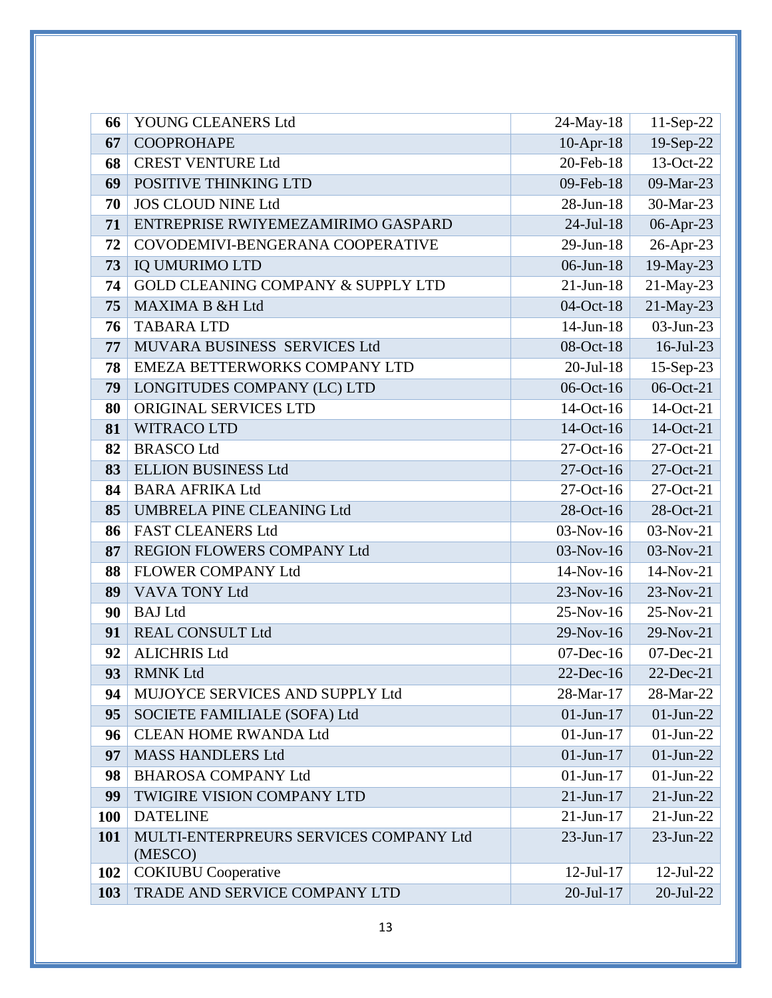| 66         | YOUNG CLEANERS Ltd                                | 24-May-18       | 11-Sep-22       |
|------------|---------------------------------------------------|-----------------|-----------------|
| 67         | <b>COOPROHAPE</b>                                 | $10$ -Apr-18    | 19-Sep-22       |
| 68         | <b>CREST VENTURE Ltd</b>                          | 20-Feb-18       | 13-Oct-22       |
| 69         | POSITIVE THINKING LTD                             | 09-Feb-18       | 09-Mar-23       |
| 70         | <b>JOS CLOUD NINE Ltd</b>                         | 28-Jun-18       | 30-Mar-23       |
| 71         | ENTREPRISE RWIYEMEZAMIRIMO GASPARD                | $24$ -Jul-18    | 06-Apr-23       |
| 72         | COVODEMIVI-BENGERANA COOPERATIVE                  | 29-Jun-18       | 26-Apr-23       |
| 73         | <b>IQ UMURIMO LTD</b>                             | 06-Jun-18       | 19-May-23       |
| 74         | GOLD CLEANING COMPANY & SUPPLY LTD                | $21$ -Jun-18    | 21-May-23       |
| 75         | <b>MAXIMA B &amp;H Ltd</b>                        | 04-Oct-18       | 21-May-23       |
| 76         | <b>TABARA LTD</b>                                 | 14-Jun-18       | 03-Jun-23       |
| 77         | MUVARA BUSINESS SERVICES Ltd                      | 08-Oct-18       | 16-Jul-23       |
| 78         | EMEZA BETTERWORKS COMPANY LTD                     | $20$ -Jul-18    | 15-Sep-23       |
| 79         | LONGITUDES COMPANY (LC) LTD                       | 06-Oct-16       | 06-Oct-21       |
| 80         | ORIGINAL SERVICES LTD                             | 14-Oct-16       | 14-Oct-21       |
| 81         | WITRACO LTD                                       | 14-Oct-16       | 14-Oct-21       |
| 82         | <b>BRASCO Ltd</b>                                 | 27-Oct-16       | 27-Oct-21       |
| 83         | <b>ELLION BUSINESS Ltd</b>                        | $27$ -Oct-16    | $27-Oct-21$     |
| 84         | <b>BARA AFRIKA Ltd</b>                            | 27-Oct-16       | $27-Oct-21$     |
| 85         | UMBRELA PINE CLEANING Ltd                         | 28-Oct-16       | 28-Oct-21       |
| 86         | <b>FAST CLEANERS Ltd</b>                          | $03-Nov-16$     | $03-Nov-21$     |
| 87         | REGION FLOWERS COMPANY Ltd                        | 03-Nov-16       | 03-Nov-21       |
| 88         | <b>FLOWER COMPANY Ltd</b>                         | 14-Nov-16       | 14-Nov-21       |
| 89         | VAVA TONY Ltd                                     | 23-Nov-16       | 23-Nov-21       |
| 90         | <b>BAJ</b> Ltd                                    | 25-Nov-16       | 25-Nov-21       |
| 91         | <b>REAL CONSULT Ltd</b>                           | 29-Nov-16       | 29-Nov-21       |
| 92         | <b>ALICHRIS Ltd</b>                               | $07$ -Dec-16    | $07$ -Dec-21    |
| 93         | <b>RMNK Ltd</b>                                   | 22-Dec-16       | $22$ -Dec-21    |
| 94         | MUJOYCE SERVICES AND SUPPLY Ltd                   | 28-Mar-17       | 28-Mar-22       |
| 95         | SOCIETE FAMILIALE (SOFA) Ltd                      | $01 - Jun - 17$ | $01$ -Jun-22    |
| 96         | <b>CLEAN HOME RWANDA Ltd</b>                      | $01$ -Jun- $17$ | $01$ -Jun-22    |
| 97         | <b>MASS HANDLERS Ltd</b>                          | $01-Jun-17$     | $01-Jun-22$     |
| 98         | <b>BHAROSA COMPANY Ltd</b>                        | $01$ -Jun-17    | $01-Jun-22$     |
| 99         | TWIGIRE VISION COMPANY LTD                        | $21 - Jun - 17$ | $21$ -Jun- $22$ |
| <b>100</b> | <b>DATELINE</b>                                   | $21$ -Jun-17    | $21$ -Jun-22    |
| 101        | MULTI-ENTERPREURS SERVICES COMPANY Ltd<br>(MESCO) | 23-Jun-17       | $23$ -Jun- $22$ |
| 102        | <b>COKIUBU</b> Cooperative                        | $12$ -Jul- $17$ | $12$ -Jul-22    |
| 103        | TRADE AND SERVICE COMPANY LTD                     | $20$ -Jul-17    | $20$ -Jul-22    |
|            |                                                   |                 |                 |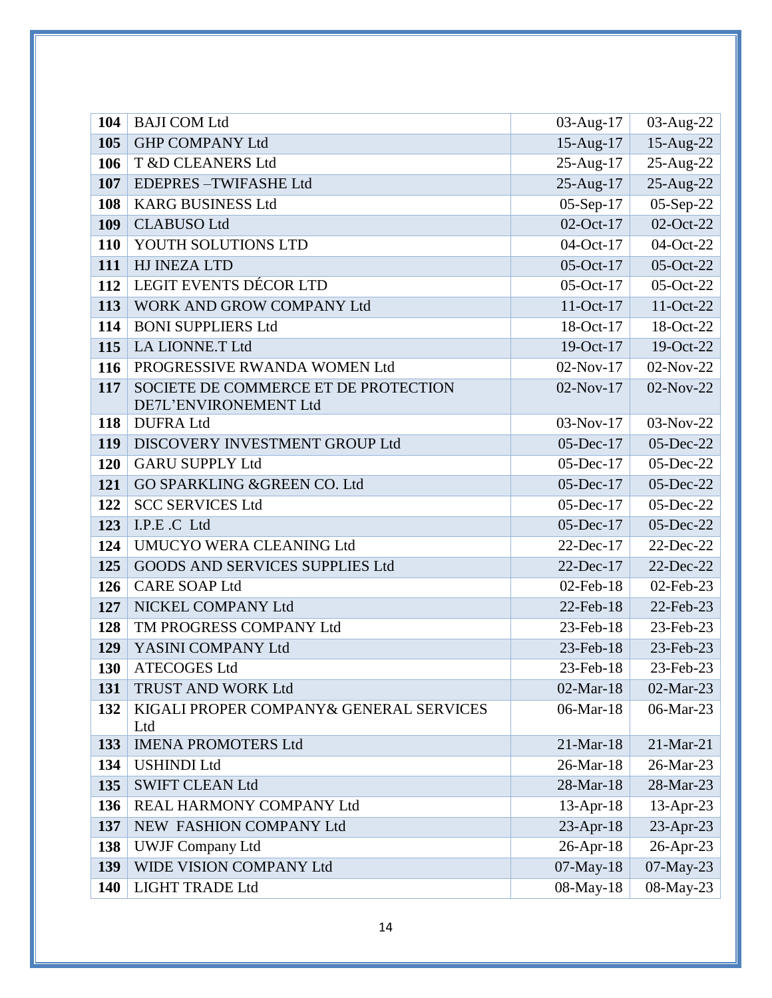| 104        | <b>BAJI COM Ltd</b>                                            | 03-Aug-17              | 03-Aug-22                    |
|------------|----------------------------------------------------------------|------------------------|------------------------------|
| 105        | <b>GHP COMPANY Ltd</b>                                         | 15-Aug-17              | 15-Aug-22                    |
| 106        | T &D CLEANERS Ltd                                              | 25-Aug-17              | 25-Aug-22                    |
| 107        | <b>EDEPRES-TWIFASHE Ltd</b>                                    | 25-Aug-17              | 25-Aug-22                    |
| 108        | <b>KARG BUSINESS Ltd</b>                                       | $05-Sep-17$            | 05-Sep-22                    |
| 109        | <b>CLABUSO Ltd</b>                                             | 02-Oct-17              | 02-Oct-22                    |
| <b>110</b> | YOUTH SOLUTIONS LTD                                            | 04-Oct-17              | 04-Oct-22                    |
| 111        | HJ INEZA LTD                                                   | 05-Oct-17              | 05-Oct-22                    |
| 112        | LEGIT EVENTS DÉCOR LTD                                         | $05$ -Oct-17           | 05-Oct-22                    |
| 113        | WORK AND GROW COMPANY Ltd                                      | 11-Oct-17              | 11-Oct-22                    |
| 114        | <b>BONI SUPPLIERS Ltd</b>                                      | 18-Oct-17              | 18-Oct-22                    |
| 115        | LA LIONNE.T Ltd                                                | 19-Oct-17              | 19-Oct-22                    |
| 116        | PROGRESSIVE RWANDA WOMEN Ltd                                   | $02-Nov-17$            | 02-Nov-22                    |
| 117        | SOCIETE DE COMMERCE ET DE PROTECTION                           | 02-Nov-17              | 02-Nov-22                    |
|            | DE7L'ENVIRONEMENT Ltd                                          |                        |                              |
| 118        | <b>DUFRA Ltd</b>                                               | $03-Nov-17$            | 03-Nov-22                    |
| 119        | DISCOVERY INVESTMENT GROUP Ltd                                 | 05-Dec-17              | 05-Dec-22                    |
| 120        | <b>GARU SUPPLY Ltd</b>                                         | $05$ -Dec-17           | 05-Dec-22                    |
| 121        | GO SPARKLING & GREEN CO. Ltd                                   | 05-Dec-17              | $05$ -Dec-22                 |
| 122        | <b>SCC SERVICES Ltd</b>                                        | 05-Dec-17              | 05-Dec-22                    |
| 123        | I.P.E.C Ltd                                                    | 05-Dec-17              | 05-Dec-22                    |
| 124<br>125 | UMUCYO WERA CLEANING Ltd                                       | $22$ -Dec-17           | 22-Dec-22                    |
| 126        | <b>GOODS AND SERVICES SUPPLIES Ltd</b><br><b>CARE SOAP Ltd</b> | 22-Dec-17              | 22-Dec-22                    |
|            | NICKEL COMPANY Ltd                                             | 02-Feb-18<br>22-Feb-18 | 02-Feb-23                    |
| 127<br>128 | TM PROGRESS COMPANY Ltd                                        | 23-Feb-18              | 22-Feb-23<br>23-Feb-23       |
| 129        | YASINI COMPANY Ltd                                             | 23-Feb-18              | 23-Feb-23                    |
| 130        | <b>ATECOGES Ltd</b>                                            | 23-Feb-18              |                              |
| 131        | TRUST AND WORK Ltd                                             | 02-Mar-18              | $23$ -Feb- $23$<br>02-Mar-23 |
| 132        | KIGALI PROPER COMPANY & GENERAL SERVICES                       | 06-Mar-18              | 06-Mar-23                    |
|            | Ltd                                                            |                        |                              |
| 133        | <b>IMENA PROMOTERS Ltd</b>                                     | 21-Mar-18              | 21-Mar-21                    |
| 134        | <b>USHINDI Ltd</b>                                             | 26-Mar-18              | 26-Mar-23                    |
| 135        | <b>SWIFT CLEAN Ltd</b>                                         | 28-Mar-18              | 28-Mar-23                    |
| 136        | REAL HARMONY COMPANY Ltd                                       | $13$ -Apr-18           | $13$ -Apr-23                 |
| 137        | NEW FASHION COMPANY Ltd                                        | $23$ -Apr-18           | 23-Apr-23                    |
| 138        | <b>UWJF Company Ltd</b>                                        | $26$ -Apr-18           | 26-Apr-23                    |
| 139        | WIDE VISION COMPANY Ltd                                        | 07-May-18              | 07-May-23                    |
| 140        | <b>LIGHT TRADE Ltd</b>                                         | 08-May-18              | 08-May-23                    |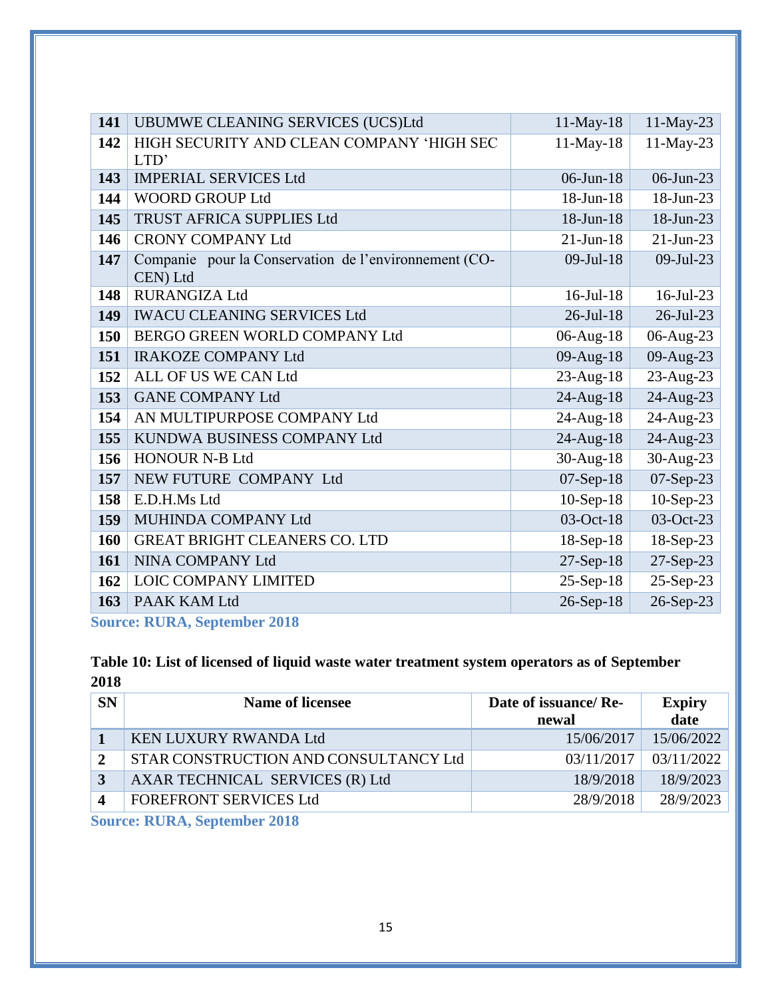| 141 | UBUMWE CLEANING SERVICES (UCS)Ltd                                 | 11-May-18       | 11-May-23    |
|-----|-------------------------------------------------------------------|-----------------|--------------|
| 142 | HIGH SECURITY AND CLEAN COMPANY 'HIGH SEC<br>LTD'                 | $11-May-18$     | 11-May-23    |
| 143 | <b>IMPERIAL SERVICES Ltd</b>                                      | $06$ -Jun-18    | $06$ -Jun-23 |
| 144 | <b>WOORD GROUP Ltd</b>                                            | 18-Jun-18       | 18-Jun-23    |
| 145 | <b>TRUST AFRICA SUPPLIES Ltd</b>                                  | 18-Jun-18       | 18-Jun-23    |
| 146 | <b>CRONY COMPANY Ltd</b>                                          | $21-Jun-18$     | $21$ -Jun-23 |
| 147 | Companie pour la Conservation de l'environnement (CO-<br>CEN) Ltd | $09$ -Jul-18    | 09-Jul-23    |
| 148 | <b>RURANGIZA Ltd</b>                                              | $16$ -Jul- $18$ | $16$ -Jul-23 |
| 149 | <b>IWACU CLEANING SERVICES Ltd</b>                                | $26$ -Jul-18    | 26-Jul-23    |
| 150 | BERGO GREEN WORLD COMPANY Ltd                                     | 06-Aug-18       | 06-Aug-23    |
| 151 | <b>IRAKOZE COMPANY Ltd</b>                                        | 09-Aug-18       | 09-Aug-23    |
| 152 | ALL OF US WE CAN Ltd                                              | $23$ -Aug-18    | 23-Aug-23    |
| 153 | <b>GANE COMPANY Ltd</b>                                           | 24-Aug-18       | 24-Aug-23    |
| 154 | AN MULTIPURPOSE COMPANY Ltd                                       | 24-Aug-18       | 24-Aug-23    |
| 155 | KUNDWA BUSINESS COMPANY Ltd                                       | 24-Aug-18       | 24-Aug-23    |
| 156 | <b>HONOUR N-B Ltd</b>                                             | 30-Aug-18       | 30-Aug-23    |
| 157 | NEW FUTURE COMPANY Ltd                                            | 07-Sep-18       | 07-Sep-23    |
| 158 | E.D.H.Ms Ltd                                                      | $10-Sep-18$     | $10-Sep-23$  |
| 159 | MUHINDA COMPANY Ltd                                               | 03-Oct-18       | 03-Oct-23    |
| 160 | <b>GREAT BRIGHT CLEANERS CO. LTD</b>                              | $18-Sep-18$     | 18-Sep-23    |
| 161 | NINA COMPANY Ltd                                                  | $27-Sep-18$     | 27-Sep-23    |
| 162 | LOIC COMPANY LIMITED                                              | $25-Sep-18$     | 25-Sep-23    |
| 163 | PAAK KAM Ltd                                                      | 26-Sep-18       | 26-Sep-23    |

**Source: RURA, September 2018**

### <span id="page-15-0"></span>**Table 10: List of licensed of liquid waste water treatment system operators as of September**

| <b>SN</b> | <b>Name of licensee</b>                                                                                 | Date of issuance/Re-<br>newal | <b>Expiry</b><br>date |
|-----------|---------------------------------------------------------------------------------------------------------|-------------------------------|-----------------------|
|           | <b>KEN LUXURY RWANDA Ltd</b>                                                                            | 15/06/2017                    | 15/06/2022            |
|           | STAR CONSTRUCTION AND CONSULTANCY Ltd                                                                   | 03/11/2017                    | 03/11/2022            |
|           | AXAR TECHNICAL SERVICES (R) Ltd                                                                         | 18/9/2018                     | 18/9/2023             |
|           | <b>FOREFRONT SERVICES Ltd</b>                                                                           | 28/9/2018                     | 28/9/2023             |
|           | $\Omega_{\text{max}}$ , <b>DIID</b> $\Lambda$ , $\Omega_{\text{max}}$ , $\Lambda$ , $\Omega$ , $\Omega$ |                               |                       |

**Source: RURA, September 2018**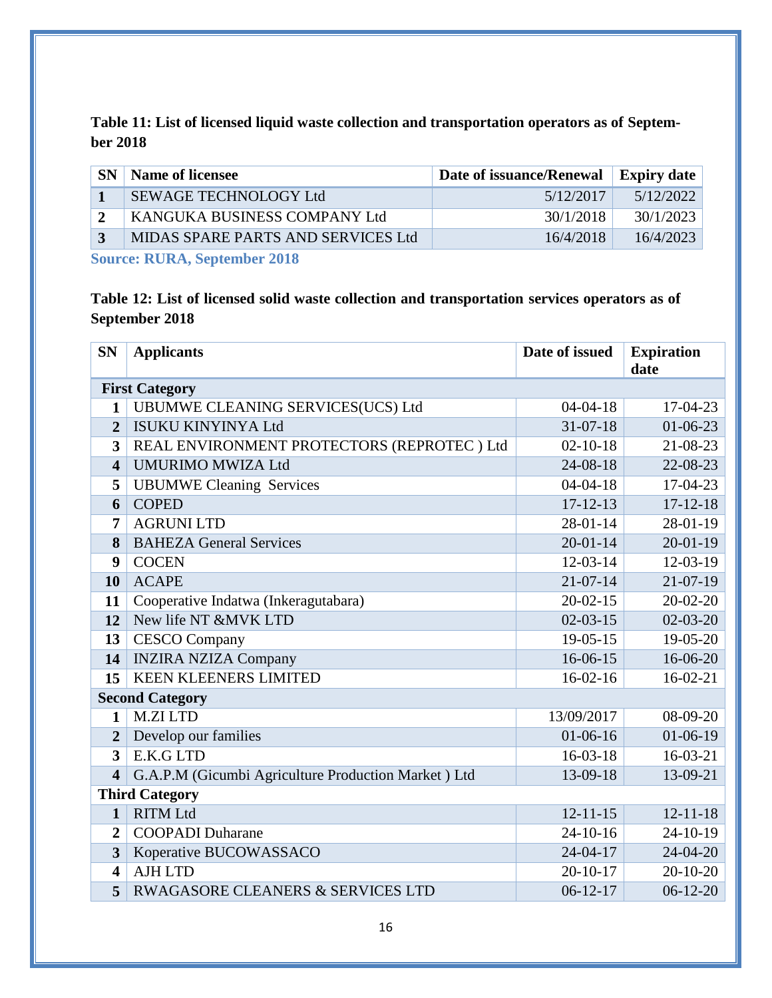<span id="page-16-0"></span>**Table 11: List of licensed liquid waste collection and transportation operators as of September 2018**

| SEWAGE TECHNOLOGY Ltd<br>5/12/2017              | 5/12/2022 |
|-------------------------------------------------|-----------|
| KANGUKA BUSINESS COMPANY Ltd<br>30/1/2018       | 30/1/2023 |
| MIDAS SPARE PARTS AND SERVICES Ltd<br>16/4/2018 | 16/4/2023 |

**Source: RURA, September 2018**

<span id="page-16-1"></span>**Table 12: List of licensed solid waste collection and transportation services operators as of September 2018**

| <b>SN</b>               | <b>Applicants</b>                                   | Date of issued | <b>Expiration</b><br>date |
|-------------------------|-----------------------------------------------------|----------------|---------------------------|
|                         | <b>First Category</b>                               |                |                           |
| $\mathbf{1}$            | UBUMWE CLEANING SERVICES(UCS) Ltd                   | $04 - 04 - 18$ | 17-04-23                  |
| $\overline{2}$          | <b>ISUKU KINYINYA Ltd</b>                           | $31 - 07 - 18$ | $01-06-23$                |
| 3                       | REAL ENVIRONMENT PROTECTORS (REPROTEC) Ltd          | $02 - 10 - 18$ | 21-08-23                  |
| $\overline{\mathbf{4}}$ | <b>UMURIMO MWIZA Ltd</b>                            | 24-08-18       | 22-08-23                  |
| 5                       | <b>UBUMWE Cleaning Services</b>                     | $04 - 04 - 18$ | 17-04-23                  |
| 6                       | <b>COPED</b>                                        | $17 - 12 - 13$ | $17 - 12 - 18$            |
| 7                       | <b>AGRUNI LTD</b>                                   | $28 - 01 - 14$ | 28-01-19                  |
| 8                       | <b>BAHEZA General Services</b>                      | $20 - 01 - 14$ | $20 - 01 - 19$            |
| 9                       | <b>COCEN</b>                                        | $12 - 03 - 14$ | 12-03-19                  |
| 10                      | <b>ACAPE</b>                                        | $21 - 07 - 14$ | $21-07-19$                |
| 11                      | Cooperative Indatwa (Inkeragutabara)                | $20 - 02 - 15$ | $20 - 02 - 20$            |
| 12                      | New life NT &MVK LTD                                | $02 - 03 - 15$ | $02 - 03 - 20$            |
| 13                      | <b>CESCO</b> Company                                | $19-05-15$     | 19-05-20                  |
| 14                      | <b>INZIRA NZIZA Company</b>                         | $16-06-15$     | 16-06-20                  |
| 15                      | <b>KEEN KLEENERS LIMITED</b>                        | $16-02-16$     | $16-02-21$                |
|                         | <b>Second Category</b>                              |                |                           |
| 1                       | <b>M.ZILTD</b>                                      | 13/09/2017     | 08-09-20                  |
| $\overline{2}$          | Develop our families                                | $01-06-16$     | $01-06-19$                |
| 3                       | E.K.G LTD                                           | $16-03-18$     | $16-03-21$                |
| $\overline{\mathbf{4}}$ | G.A.P.M (Gicumbi Agriculture Production Market) Ltd | 13-09-18       | 13-09-21                  |
|                         | <b>Third Category</b>                               |                |                           |
| $\mathbf{1}$            | <b>RITM Ltd</b>                                     | $12 - 11 - 15$ | $12 - 11 - 18$            |
| $\overline{2}$          | <b>COOPADI</b> Duharane                             | $24-10-16$     | 24-10-19                  |
| 3                       | Koperative BUCOWASSACO                              | $24 - 04 - 17$ | 24-04-20                  |
| $\overline{\mathbf{4}}$ | <b>AJH LTD</b>                                      | $20 - 10 - 17$ | $20 - 10 - 20$            |
| 5                       | RWAGASORE CLEANERS & SERVICES LTD                   | $06-12-17$     | $06-12-20$                |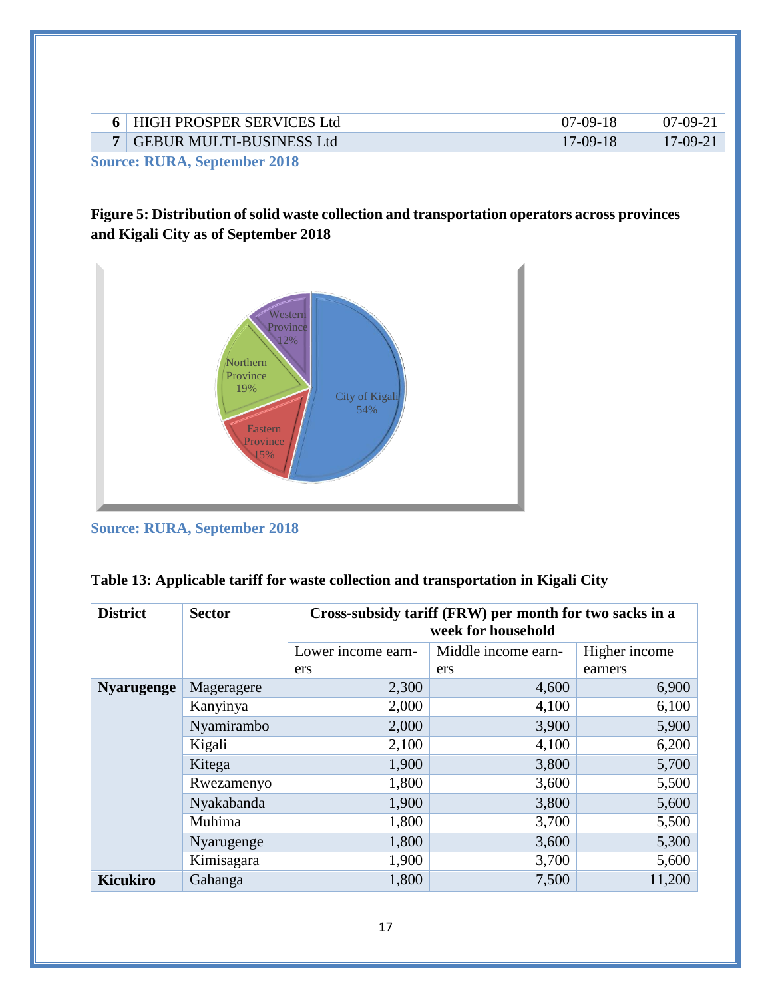|     | HIGH PROSPER SERVICES Ltd       | 07-09-1    |           |
|-----|---------------------------------|------------|-----------|
|     | <b>GEBUR MULTI-BUSINESS Ltd</b> | $17-09-18$ | $17-09-2$ |
| ___ | ______                          |            |           |

**Source: RURA, September 2018**

### <span id="page-17-1"></span>**Figure 5: Distribution of solid waste collection and transportation operators across provinces and Kigali City as of September 2018**



**Source: RURA, September 2018**

<span id="page-17-0"></span>

|  |  | Table 13: Applicable tariff for waste collection and transportation in Kigali City |  |
|--|--|------------------------------------------------------------------------------------|--|

| <b>District</b>   | <b>Sector</b> | Cross-subsidy tariff (FRW) per month for two sacks in a<br>week for household |                     |               |  |
|-------------------|---------------|-------------------------------------------------------------------------------|---------------------|---------------|--|
|                   |               | Lower income earn-                                                            | Middle income earn- | Higher income |  |
|                   |               | ers                                                                           | ers                 | earners       |  |
| <b>Nyarugenge</b> | Mageragere    | 2,300                                                                         | 4,600               | 6,900         |  |
|                   | Kanyinya      | 2,000                                                                         | 4,100               | 6,100         |  |
|                   | Nyamirambo    | 2,000                                                                         | 3,900               | 5,900         |  |
|                   | Kigali        | 2,100                                                                         | 4,100               | 6,200         |  |
|                   | Kitega        | 1,900                                                                         | 3,800               | 5,700         |  |
|                   | Rwezamenyo    | 1,800                                                                         | 3,600               | 5,500         |  |
|                   | Nyakabanda    | 1,900                                                                         | 3,800               | 5,600         |  |
|                   | Muhima        | 1,800                                                                         | 3,700               | 5,500         |  |
|                   | Nyarugenge    | 1,800                                                                         | 3,600               | 5,300         |  |
|                   | Kimisagara    | 1,900                                                                         | 3,700               | 5,600         |  |
| <b>Kicukiro</b>   | Gahanga       | 1,800                                                                         | 7,500               | 11,200        |  |